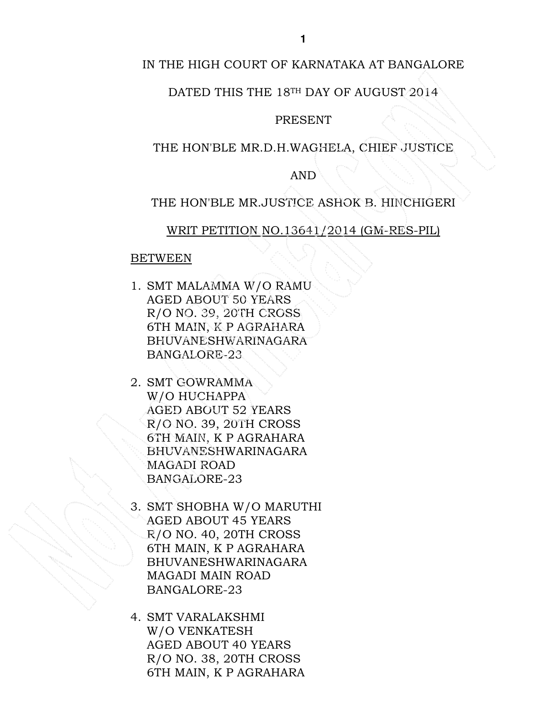# IN THE HIGH COURT OF KARNATAKA AT BANGALORE

# DATED THIS THE 18TH DAY OF AUGUST 2014

#### PRESENT

# THE HON'BLE MR.D.H.WAGHELA, CHIEF JUSTICE

# AND

### THE HON'BLE MR.JUSTICE ASHOK B. HINCHIGERI

### WRIT PETITION NO.13641/2014 (GM-RES-PIL)

#### BETWEEN

- 1. SMT MALAMMA W/O RAMU AGED ABOUT 50 YEARS R/O NO. 39, 20TH CROSS 6TH MAIN, K P AGRAHARA BHUVANESHWARINAGARA BANGALORE-23
- 2. SMT GOWRAMMA W/O HUCHAPPA AGED ABOUT 52 YEARS R/O NO. 39, 20TH CROSS 6TH MAIN, K P AGRAHARA BHUVANESHWARINAGARA MAGADI ROAD BANGALORE-23
- 3. SMT SHOBHA W/O MARUTHI AGED ABOUT 45 YEARS R/O NO. 40, 20TH CROSS 6TH MAIN, K P AGRAHARA BHUVANESHWARINAGARA MAGADI MAIN ROAD BANGALORE-23
- 4. SMT VARALAKSHMI W/O VENKATESH AGED ABOUT 40 YEARS R/O NO. 38, 20TH CROSS 6TH MAIN, K P AGRAHARA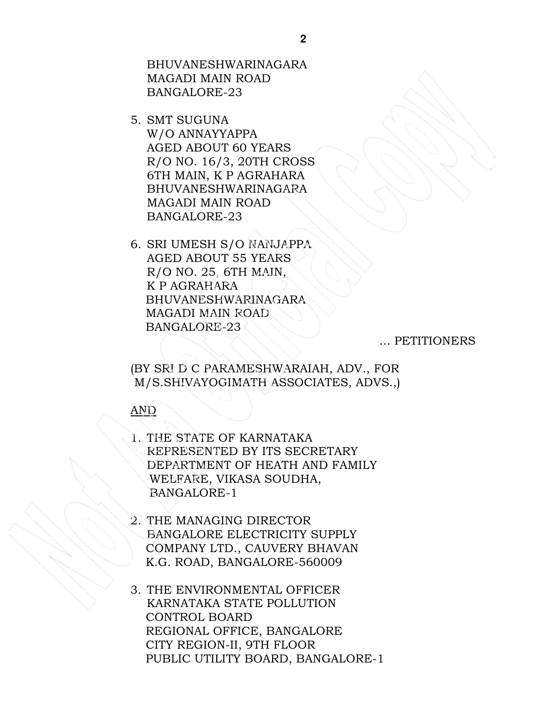BHUVANESHWARINAGARA MAGADI MAIN ROAD BANGALORE-23

- 5. SMT SUGUNA W/O ANNAYYAPPA AGED ABOUT 60 YEARS R/O NO. 16/3, 20TH CROSS 6TH MAIN, K P AGRAHARA BHUVANESHWARINAGARA MAGADI MAIN ROAD BANGALORE-23
- 6. SRI UMESH S/O NANJAPPA AGED ABOUT 55 YEARS R/O NO. 25, 6TH MAIN, K P AGRAHARA BHUVANESHWARINAGARA MAGADI MAIN ROAD BANGALORE-23

... PETITIONERS

(BY SRI D C PARAMESHWARAIAH, ADV., FOR M/S.SHIVAYOGIMATH ASSOCIATES, ADVS.,)

# AND

- 1. THE STATE OF KARNATAKA REPRESENTED BY ITS SECRETARY DEPARTMENT OF HEATH AND FAMILY WELFARE, VIKASA SOUDHA, BANGALORE-1
- 2. THE MANAGING DIRECTOR BANGALORE ELECTRICITY SUPPLY COMPANY LTD., CAUVERY BHAVAN K.G. ROAD, BANGALORE-560009
- 3. THE ENVIRONMENTAL OFFICER KARNATAKA STATE POLLUTION CONTROL BOARD REGIONAL OFFICE, BANGALORE CITY REGION-II, 9TH FLOOR PUBLIC UTILITY BOARD, BANGALORE-1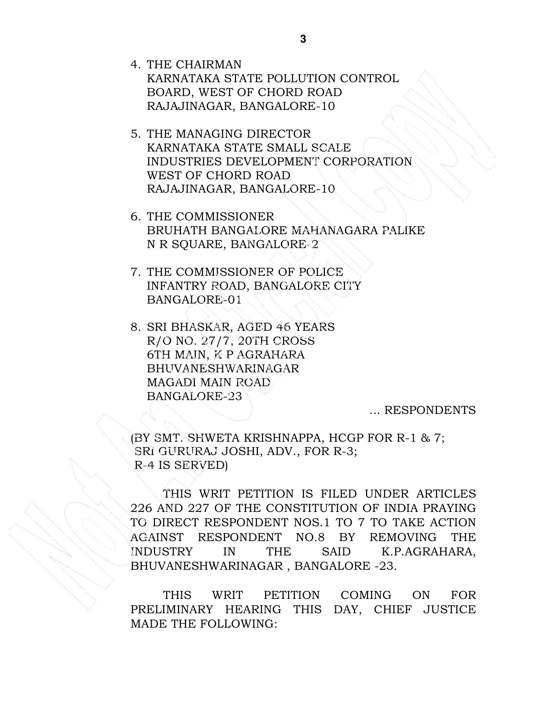- 4. THE CHAIRMAN KARNATAKA STATE POLLUTION CONTROL BOARD, WEST OF CHORD ROAD RAJAJINAGAR, BANGALORE-10
- 5. THE MANAGING DIRECTOR KARNATAKA STATE SMALL SCALE INDUSTRIES DEVELOPMENT CORPORATION WEST OF CHORD ROAD RAJAJINAGAR, BANGALORE-10
- 6. THE COMMISSIONER BRUHATH BANGALORE MAHANAGARA PALIKE N R SQUARE, BANGALORE-2
- 7. THE COMMISSIONER OF POLICE INFANTRY ROAD, BANGALORE CITY BANGALORE-01
- 8. SRI BHASKAR, AGED 46 YEARS R/O NO. 27/7, 20TH CROSS 6TH MAIN, K P AGRAHARA BHUVANESHWARINAGAR MAGADI MAIN ROAD BANGALORE-23

... RESPONDENTS

(BY SMT. SHWETA KRISHNAPPA, HCGP FOR R-1 & 7; SRI GURURAJ JOSHI, ADV., FOR R-3; R-4 IS SERVED)

THIS WRIT PETITION IS FILED UNDER ARTICLES 226 AND 227 OF THE CONSTITUTION OF INDIA PRAYING TO DIRECT RESPONDENT NOS.1 TO 7 TO TAKE ACTION AGAINST RESPONDENT NO.8 BY REMOVING THE INDUSTRY IN THE SAID K.P.AGRAHARA, BHUVANESHWARINAGAR , BANGALORE -23.

 THIS WRIT PETITION COMING ON FOR PRELIMINARY HEARING THIS DAY, CHIEF JUSTICE MADE THE FOLLOWING: